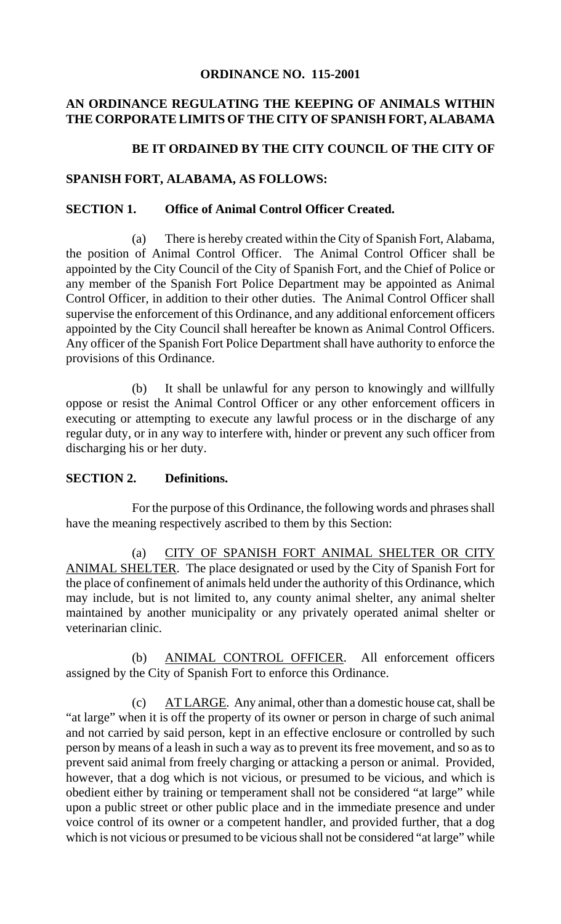#### **ORDINANCE NO. 115-2001**

#### **AN ORDINANCE REGULATING THE KEEPING OF ANIMALS WITHIN THE CORPORATE LIMITS OF THE CITY OF SPANISH FORT, ALABAMA**

#### BE IT ORDAINED BY THE CITY COUNCIL OF THE CITY OF

#### **SPANISH FORT, ALABAMA, AS FOLLOWS:**

#### **SECTION 1. Office of Animal Control Officer Created.**

(a) There is hereby created within the City of Spanish Fort, Alabama, the position of Animal Control Officer. The Animal Control Officer shall be appointed by the City Council of the City of Spanish Fort, and the Chief of Police or any member of the Spanish Fort Police Department may be appointed as Animal Control Officer, in addition to their other duties. The Animal Control Officer shall supervise the enforcement of this Ordinance, and any additional enforcement officers appointed by the City Council shall hereafter be known as Animal Control Officers. Any officer of the Spanish Fort Police Department shall have authority to enforce the provisions of this Ordinance.

(b) It shall be unlawful for any person to knowingly and willfully oppose or resist the Animal Control Officer or any other enforcement officers in executing or attempting to execute any lawful process or in the discharge of any regular duty, or in any way to interfere with, hinder or prevent any such officer from discharging his or her duty.

#### **SECTION 2. Definitions.**

For the purpose of this Ordinance, the following words and phrases shall have the meaning respectively ascribed to them by this Section:

(a) CITY OF SPANISH FORT ANIMAL SHELTER OR CITY ANIMAL SHELTER. The place designated or used by the City of Spanish Fort for the place of confinement of animals held under the authority of this Ordinance, which may include, but is not limited to, any county animal shelter, any animal shelter maintained by another municipality or any privately operated animal shelter or veterinarian clinic.

(b) ANIMAL CONTROL OFFICER. All enforcement officers assigned by the City of Spanish Fort to enforce this Ordinance.

(c) AT LARGE. Any animal, other than a domestic house cat, shall be "at large" when it is off the property of its owner or person in charge of such animal and not carried by said person, kept in an effective enclosure or controlled by such person by means of a leash in such a way as to prevent its free movement, and so as to prevent said animal from freely charging or attacking a person or animal. Provided, however, that a dog which is not vicious, or presumed to be vicious, and which is obedient either by training or temperament shall not be considered "at large" while upon a public street or other public place and in the immediate presence and under voice control of its owner or a competent handler, and provided further, that a dog which is not vicious or presumed to be vicious shall not be considered "at large" while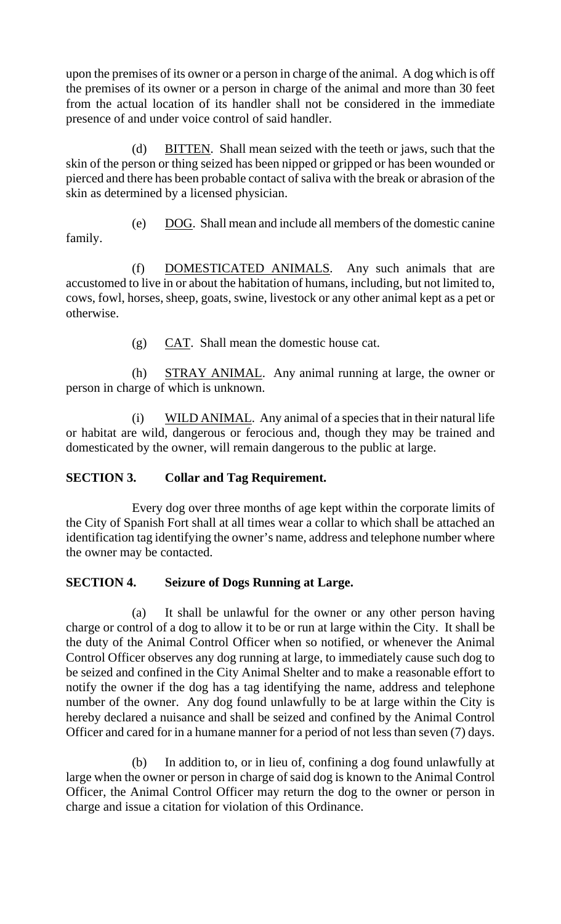upon the premises of its owner or a person in charge of the animal. A dog which is off the premises of its owner or a person in charge of the animal and more than 30 feet from the actual location of its handler shall not be considered in the immediate presence of and under voice control of said handler.

(d) BITTEN. Shall mean seized with the teeth or jaws, such that the skin of the person or thing seized has been nipped or gripped or has been wounded or pierced and there has been probable contact of saliva with the break or abrasion of the skin as determined by a licensed physician.

(e) DOG. Shall mean and include all members of the domestic canine family.

(f) DOMESTICATED ANIMALS. Any such animals that are accustomed to live in or about the habitation of humans, including, but not limited to, cows, fowl, horses, sheep, goats, swine, livestock or any other animal kept as a pet or otherwise.

(g) CAT. Shall mean the domestic house cat.

(h) STRAY ANIMAL. Any animal running at large, the owner or person in charge of which is unknown.

(i) WILD ANIMAL. Any animal of a species that in their natural life or habitat are wild, dangerous or ferocious and, though they may be trained and domesticated by the owner, will remain dangerous to the public at large.

# **SECTION 3. Collar and Tag Requirement.**

Every dog over three months of age kept within the corporate limits of the City of Spanish Fort shall at all times wear a collar to which shall be attached an identification tag identifying the owner's name, address and telephone number where the owner may be contacted.

## **SECTION 4. Seizure of Dogs Running at Large.**

(a) It shall be unlawful for the owner or any other person having charge or control of a dog to allow it to be or run at large within the City. It shall be the duty of the Animal Control Officer when so notified, or whenever the Animal Control Officer observes any dog running at large, to immediately cause such dog to be seized and confined in the City Animal Shelter and to make a reasonable effort to notify the owner if the dog has a tag identifying the name, address and telephone number of the owner. Any dog found unlawfully to be at large within the City is hereby declared a nuisance and shall be seized and confined by the Animal Control Officer and cared for in a humane manner for a period of not less than seven (7) days.

(b) In addition to, or in lieu of, confining a dog found unlawfully at large when the owner or person in charge of said dog is known to the Animal Control Officer, the Animal Control Officer may return the dog to the owner or person in charge and issue a citation for violation of this Ordinance.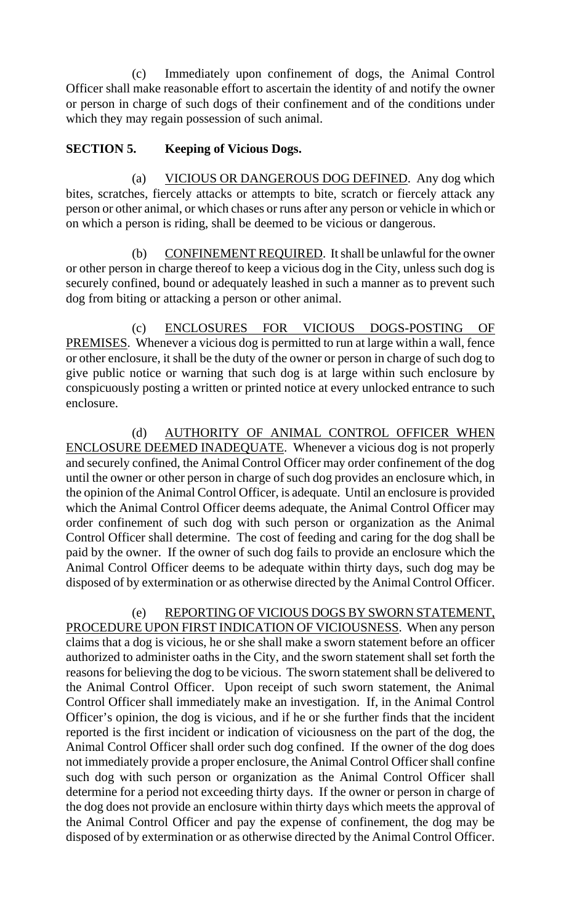(c) Immediately upon confinement of dogs, the Animal Control Officer shall make reasonable effort to ascertain the identity of and notify the owner or person in charge of such dogs of their confinement and of the conditions under which they may regain possession of such animal.

#### **SECTION 5. Keeping of Vicious Dogs.**

(a) VICIOUS OR DANGEROUS DOG DEFINED. Any dog which bites, scratches, fiercely attacks or attempts to bite, scratch or fiercely attack any person or other animal, or which chases or runs after any person or vehicle in which or on which a person is riding, shall be deemed to be vicious or dangerous.

(b) CONFINEMENT REQUIRED. It shall be unlawful for the owner or other person in charge thereof to keep a vicious dog in the City, unless such dog is securely confined, bound or adequately leashed in such a manner as to prevent such dog from biting or attacking a person or other animal.

(c) ENCLOSURES FOR VICIOUS DOGS-POSTING OF PREMISES. Whenever a vicious dog is permitted to run at large within a wall, fence or other enclosure, it shall be the duty of the owner or person in charge of such dog to give public notice or warning that such dog is at large within such enclosure by conspicuously posting a written or printed notice at every unlocked entrance to such enclosure.

(d) AUTHORITY OF ANIMAL CONTROL OFFICER WHEN ENCLOSURE DEEMED INADEQUATE. Whenever a vicious dog is not properly and securely confined, the Animal Control Officer may order confinement of the dog until the owner or other person in charge of such dog provides an enclosure which, in the opinion of the Animal Control Officer, is adequate. Until an enclosure is provided which the Animal Control Officer deems adequate, the Animal Control Officer may order confinement of such dog with such person or organization as the Animal Control Officer shall determine. The cost of feeding and caring for the dog shall be paid by the owner. If the owner of such dog fails to provide an enclosure which the Animal Control Officer deems to be adequate within thirty days, such dog may be disposed of by extermination or as otherwise directed by the Animal Control Officer.

(e) REPORTING OF VICIOUS DOGS BY SWORN STATEMENT, PROCEDURE UPON FIRST INDICATION OF VICIOUSNESS. When any person claims that a dog is vicious, he or she shall make a sworn statement before an officer authorized to administer oaths in the City, and the sworn statement shall set forth the reasons for believing the dog to be vicious. The sworn statement shall be delivered to the Animal Control Officer. Upon receipt of such sworn statement, the Animal Control Officer shall immediately make an investigation. If, in the Animal Control Officer's opinion, the dog is vicious, and if he or she further finds that the incident reported is the first incident or indication of viciousness on the part of the dog, the Animal Control Officer shall order such dog confined. If the owner of the dog does not immediately provide a proper enclosure, the Animal Control Officer shall confine such dog with such person or organization as the Animal Control Officer shall determine for a period not exceeding thirty days. If the owner or person in charge of the dog does not provide an enclosure within thirty days which meets the approval of the Animal Control Officer and pay the expense of confinement, the dog may be disposed of by extermination or as otherwise directed by the Animal Control Officer.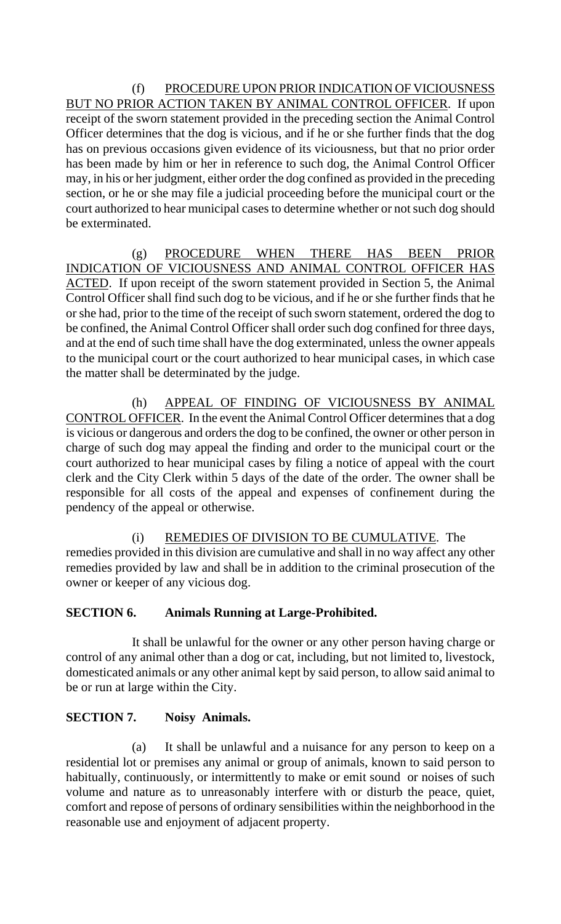(f) PROCEDURE UPON PRIOR INDICATION OF VICIOUSNESS BUT NO PRIOR ACTION TAKEN BY ANIMAL CONTROL OFFICER. If upon receipt of the sworn statement provided in the preceding section the Animal Control Officer determines that the dog is vicious, and if he or she further finds that the dog has on previous occasions given evidence of its viciousness, but that no prior order has been made by him or her in reference to such dog, the Animal Control Officer may, in his or her judgment, either order the dog confined as provided in the preceding section, or he or she may file a judicial proceeding before the municipal court or the court authorized to hear municipal cases to determine whether or not such dog should be exterminated.

(g) PROCEDURE WHEN THERE HAS BEEN PRIOR INDICATION OF VICIOUSNESS AND ANIMAL CONTROL OFFICER HAS ACTED. If upon receipt of the sworn statement provided in Section 5, the Animal Control Officer shall find such dog to be vicious, and if he or she further finds that he or she had, prior to the time of the receipt of such sworn statement, ordered the dog to be confined, the Animal Control Officer shall order such dog confined for three days, and at the end of such time shall have the dog exterminated, unless the owner appeals to the municipal court or the court authorized to hear municipal cases, in which case the matter shall be determinated by the judge.

(h) APPEAL OF FINDING OF VICIOUSNESS BY ANIMAL CONTROL OFFICER. In the event the Animal Control Officer determines that a dog is vicious or dangerous and orders the dog to be confined, the owner or other person in charge of such dog may appeal the finding and order to the municipal court or the court authorized to hear municipal cases by filing a notice of appeal with the court clerk and the City Clerk within 5 days of the date of the order. The owner shall be responsible for all costs of the appeal and expenses of confinement during the pendency of the appeal or otherwise.

(i) REMEDIES OF DIVISION TO BE CUMULATIVE. The remedies provided in this division are cumulative and shall in no way affect any other remedies provided by law and shall be in addition to the criminal prosecution of the owner or keeper of any vicious dog.

# **SECTION 6. Animals Running at Large-Prohibited.**

It shall be unlawful for the owner or any other person having charge or control of any animal other than a dog or cat, including, but not limited to, livestock, domesticated animals or any other animal kept by said person, to allow said animal to be or run at large within the City.

## **SECTION 7. Noisy Animals.**

(a) It shall be unlawful and a nuisance for any person to keep on a residential lot or premises any animal or group of animals, known to said person to habitually, continuously, or intermittently to make or emit sound or noises of such volume and nature as to unreasonably interfere with or disturb the peace, quiet, comfort and repose of persons of ordinary sensibilities within the neighborhood in the reasonable use and enjoyment of adjacent property.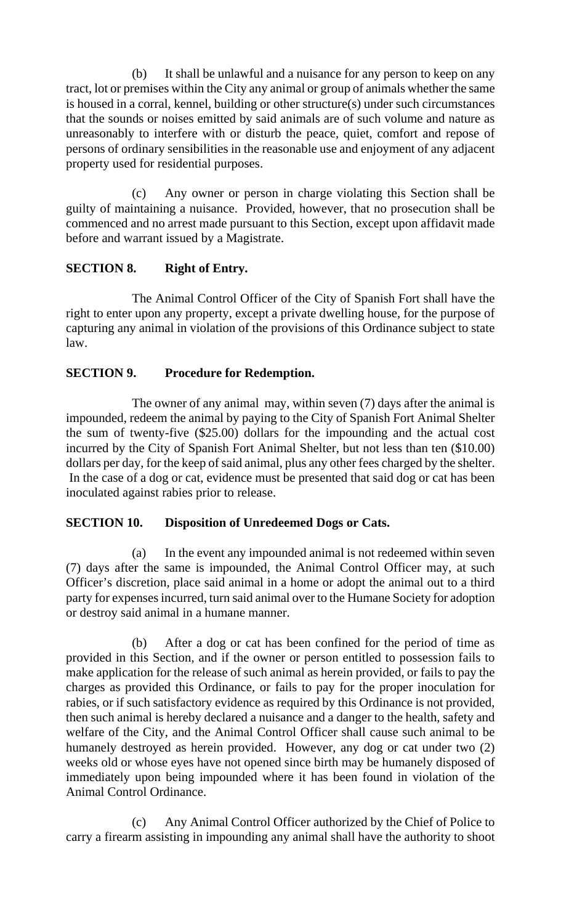(b) It shall be unlawful and a nuisance for any person to keep on any tract, lot or premises within the City any animal or group of animals whether the same is housed in a corral, kennel, building or other structure(s) under such circumstances that the sounds or noises emitted by said animals are of such volume and nature as unreasonably to interfere with or disturb the peace, quiet, comfort and repose of persons of ordinary sensibilities in the reasonable use and enjoyment of any adjacent property used for residential purposes.

(c) Any owner or person in charge violating this Section shall be guilty of maintaining a nuisance. Provided, however, that no prosecution shall be commenced and no arrest made pursuant to this Section, except upon affidavit made before and warrant issued by a Magistrate.

## **SECTION 8. Right of Entry.**

The Animal Control Officer of the City of Spanish Fort shall have the right to enter upon any property, except a private dwelling house, for the purpose of capturing any animal in violation of the provisions of this Ordinance subject to state law.

# **SECTION 9. Procedure for Redemption.**

The owner of any animal may, within seven (7) days after the animal is impounded, redeem the animal by paying to the City of Spanish Fort Animal Shelter the sum of twenty-five (\$25.00) dollars for the impounding and the actual cost incurred by the City of Spanish Fort Animal Shelter, but not less than ten (\$10.00) dollars per day, for the keep of said animal, plus any other fees charged by the shelter. In the case of a dog or cat, evidence must be presented that said dog or cat has been inoculated against rabies prior to release.

## **SECTION 10. Disposition of Unredeemed Dogs or Cats.**

(a) In the event any impounded animal is not redeemed within seven (7) days after the same is impounded, the Animal Control Officer may, at such Officer's discretion, place said animal in a home or adopt the animal out to a third party for expenses incurred, turn said animal over to the Humane Society for adoption or destroy said animal in a humane manner.

(b) After a dog or cat has been confined for the period of time as provided in this Section, and if the owner or person entitled to possession fails to make application for the release of such animal as herein provided, or fails to pay the charges as provided this Ordinance, or fails to pay for the proper inoculation for rabies, or if such satisfactory evidence as required by this Ordinance is not provided, then such animal is hereby declared a nuisance and a danger to the health, safety and welfare of the City, and the Animal Control Officer shall cause such animal to be humanely destroyed as herein provided. However, any dog or cat under two (2) weeks old or whose eyes have not opened since birth may be humanely disposed of immediately upon being impounded where it has been found in violation of the Animal Control Ordinance.

(c) Any Animal Control Officer authorized by the Chief of Police to carry a firearm assisting in impounding any animal shall have the authority to shoot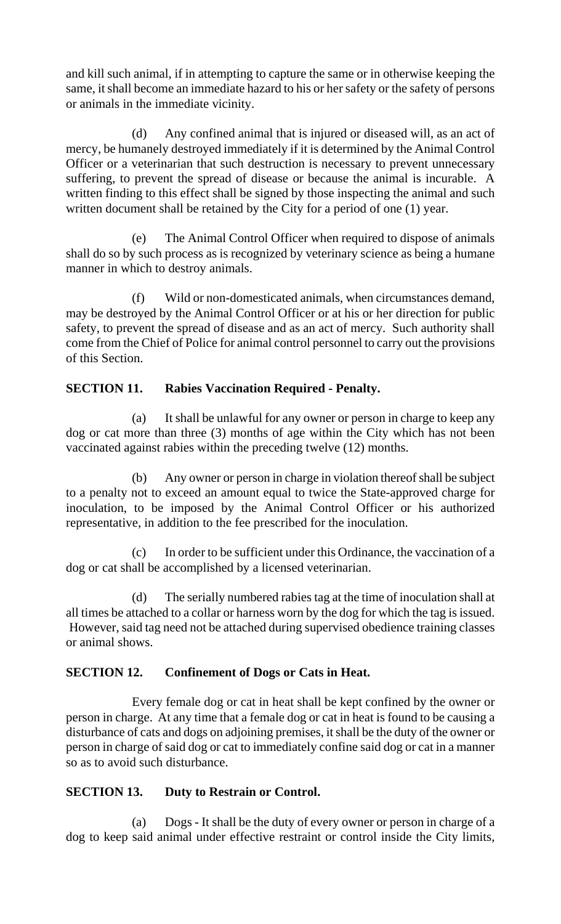and kill such animal, if in attempting to capture the same or in otherwise keeping the same, it shall become an immediate hazard to his or her safety or the safety of persons or animals in the immediate vicinity.

(d) Any confined animal that is injured or diseased will, as an act of mercy, be humanely destroyed immediately if it is determined by the Animal Control Officer or a veterinarian that such destruction is necessary to prevent unnecessary suffering, to prevent the spread of disease or because the animal is incurable. A written finding to this effect shall be signed by those inspecting the animal and such written document shall be retained by the City for a period of one (1) year.

(e) The Animal Control Officer when required to dispose of animals shall do so by such process as is recognized by veterinary science as being a humane manner in which to destroy animals.

(f) Wild or non-domesticated animals, when circumstances demand, may be destroyed by the Animal Control Officer or at his or her direction for public safety, to prevent the spread of disease and as an act of mercy. Such authority shall come from the Chief of Police for animal control personnel to carry out the provisions of this Section.

## **SECTION 11. Rabies Vaccination Required - Penalty.**

(a) It shall be unlawful for any owner or person in charge to keep any dog or cat more than three (3) months of age within the City which has not been vaccinated against rabies within the preceding twelve (12) months.

(b) Any owner or person in charge in violation thereof shall be subject to a penalty not to exceed an amount equal to twice the State-approved charge for inoculation, to be imposed by the Animal Control Officer or his authorized representative, in addition to the fee prescribed for the inoculation.

(c) In order to be sufficient under this Ordinance, the vaccination of a dog or cat shall be accomplished by a licensed veterinarian.

(d) The serially numbered rabies tag at the time of inoculation shall at all times be attached to a collar or harness worn by the dog for which the tag is issued. However, said tag need not be attached during supervised obedience training classes or animal shows.

## **SECTION 12. Confinement of Dogs or Cats in Heat.**

Every female dog or cat in heat shall be kept confined by the owner or person in charge. At any time that a female dog or cat in heat is found to be causing a disturbance of cats and dogs on adjoining premises, it shall be the duty of the owner or person in charge of said dog or cat to immediately confine said dog or cat in a manner so as to avoid such disturbance.

# **SECTION 13. Duty to Restrain or Control.**

(a) Dogs - It shall be the duty of every owner or person in charge of a dog to keep said animal under effective restraint or control inside the City limits,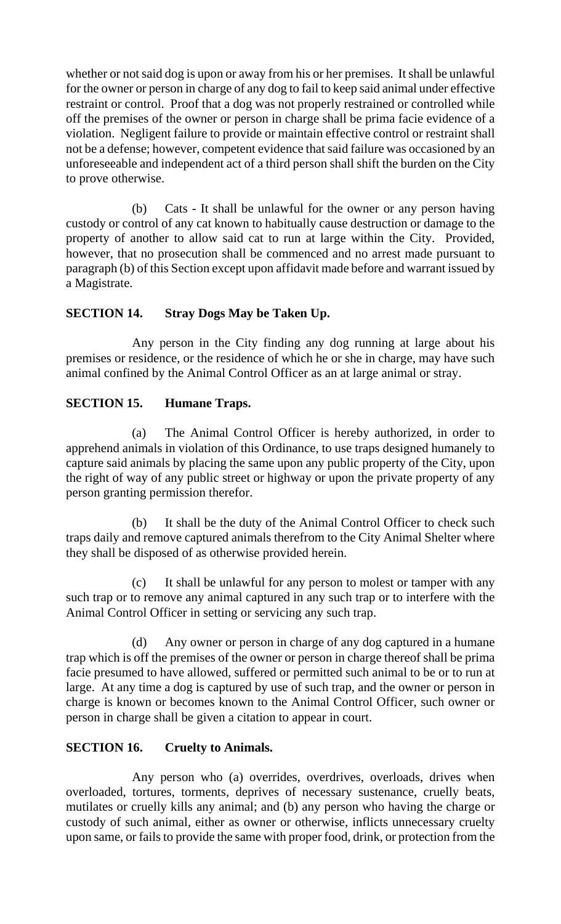whether or not said dog is upon or away from his or her premises. It shall be unlawful for the owner or person in charge of any dog to fail to keep said animal under effective restraint or control. Proof that a dog was not properly restrained or controlled while off the premises of the owner or person in charge shall be prima facie evidence of a violation. Negligent failure to provide or maintain effective control or restraint shall not be a defense; however, competent evidence that said failure was occasioned by an unforeseeable and independent act of a third person shall shift the burden on the City to prove otherwise.

(b) Cats - It shall be unlawful for the owner or any person having custody or control of any cat known to habitually cause destruction or damage to the property of another to allow said cat to run at large within the City. Provided, however, that no prosecution shall be commenced and no arrest made pursuant to paragraph (b) of this Section except upon affidavit made before and warrant issued by a Magistrate.

## **SECTION 14. Stray Dogs May be Taken Up.**

Any person in the City finding any dog running at large about his premises or residence, or the residence of which he or she in charge, may have such animal confined by the Animal Control Officer as an at large animal or stray.

## **SECTION 15. Humane Traps.**

(a) The Animal Control Officer is hereby authorized, in order to apprehend animals in violation of this Ordinance, to use traps designed humanely to capture said animals by placing the same upon any public property of the City, upon the right of way of any public street or highway or upon the private property of any person granting permission therefor.

(b) It shall be the duty of the Animal Control Officer to check such traps daily and remove captured animals therefrom to the City Animal Shelter where they shall be disposed of as otherwise provided herein.

(c) It shall be unlawful for any person to molest or tamper with any such trap or to remove any animal captured in any such trap or to interfere with the Animal Control Officer in setting or servicing any such trap.

(d) Any owner or person in charge of any dog captured in a humane trap which is off the premises of the owner or person in charge thereof shall be prima facie presumed to have allowed, suffered or permitted such animal to be or to run at large. At any time a dog is captured by use of such trap, and the owner or person in charge is known or becomes known to the Animal Control Officer, such owner or person in charge shall be given a citation to appear in court.

## **SECTION 16. Cruelty to Animals.**

Any person who (a) overrides, overdrives, overloads, drives when overloaded, tortures, torments, deprives of necessary sustenance, cruelly beats, mutilates or cruelly kills any animal; and (b) any person who having the charge or custody of such animal, either as owner or otherwise, inflicts unnecessary cruelty upon same, or fails to provide the same with proper food, drink, or protection from the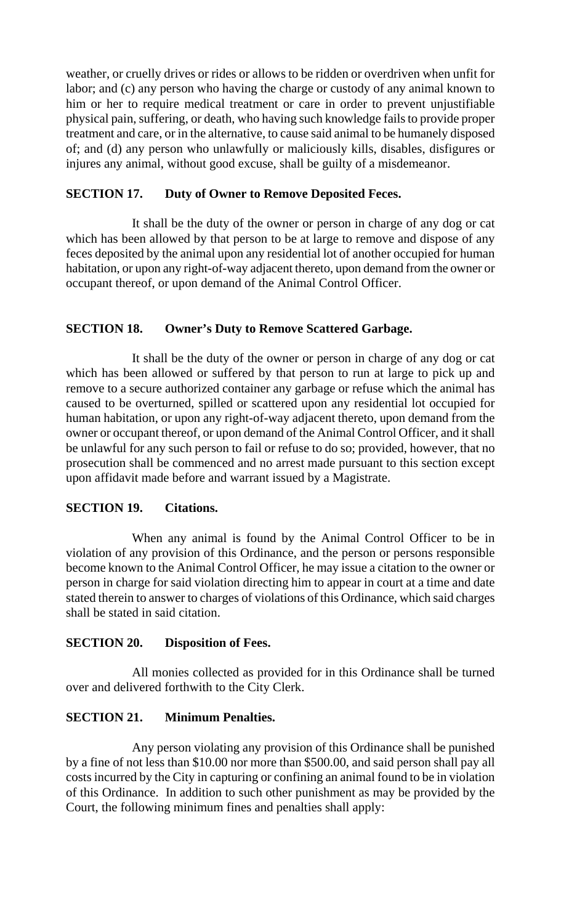weather, or cruelly drives or rides or allows to be ridden or overdriven when unfit for labor; and (c) any person who having the charge or custody of any animal known to him or her to require medical treatment or care in order to prevent unjustifiable physical pain, suffering, or death, who having such knowledge fails to provide proper treatment and care, or in the alternative, to cause said animal to be humanely disposed of; and (d) any person who unlawfully or maliciously kills, disables, disfigures or injures any animal, without good excuse, shall be guilty of a misdemeanor.

## **SECTION 17. Duty of Owner to Remove Deposited Feces.**

It shall be the duty of the owner or person in charge of any dog or cat which has been allowed by that person to be at large to remove and dispose of any feces deposited by the animal upon any residential lot of another occupied for human habitation, or upon any right-of-way adjacent thereto, upon demand from the owner or occupant thereof, or upon demand of the Animal Control Officer.

## **SECTION 18. Owner's Duty to Remove Scattered Garbage.**

It shall be the duty of the owner or person in charge of any dog or cat which has been allowed or suffered by that person to run at large to pick up and remove to a secure authorized container any garbage or refuse which the animal has caused to be overturned, spilled or scattered upon any residential lot occupied for human habitation, or upon any right-of-way adjacent thereto, upon demand from the owner or occupant thereof, or upon demand of the Animal Control Officer, and it shall be unlawful for any such person to fail or refuse to do so; provided, however, that no prosecution shall be commenced and no arrest made pursuant to this section except upon affidavit made before and warrant issued by a Magistrate.

## **SECTION 19. Citations.**

When any animal is found by the Animal Control Officer to be in violation of any provision of this Ordinance, and the person or persons responsible become known to the Animal Control Officer, he may issue a citation to the owner or person in charge for said violation directing him to appear in court at a time and date stated therein to answer to charges of violations of this Ordinance, which said charges shall be stated in said citation.

## **SECTION 20. Disposition of Fees.**

All monies collected as provided for in this Ordinance shall be turned over and delivered forthwith to the City Clerk.

#### **SECTION 21. Minimum Penalties.**

Any person violating any provision of this Ordinance shall be punished by a fine of not less than \$10.00 nor more than \$500.00, and said person shall pay all costs incurred by the City in capturing or confining an animal found to be in violation of this Ordinance. In addition to such other punishment as may be provided by the Court, the following minimum fines and penalties shall apply: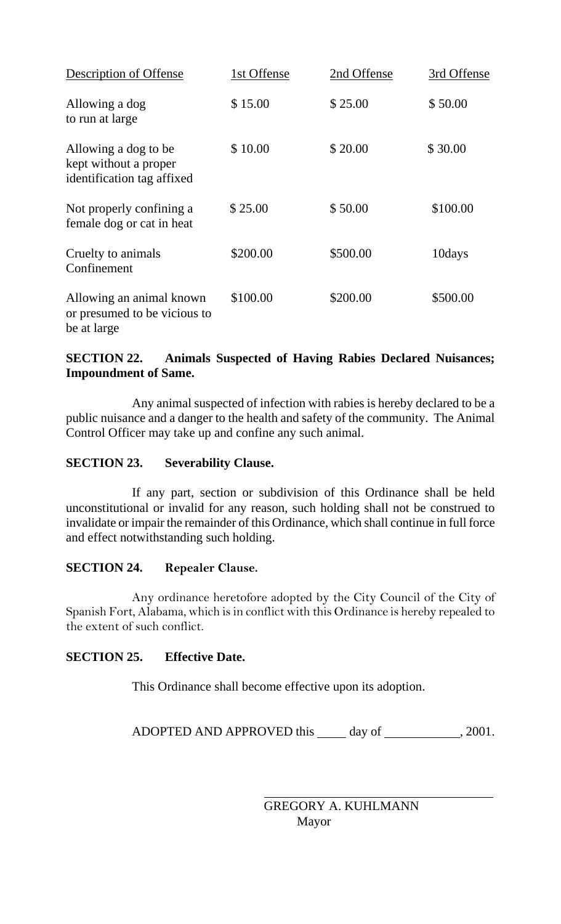| <b>Description of Offense</b>                                               | 1st Offense | 2nd Offense | 3rd Offense |
|-----------------------------------------------------------------------------|-------------|-------------|-------------|
| Allowing a dog<br>to run at large                                           | \$15.00     | \$25.00     | \$50.00     |
| Allowing a dog to be<br>kept without a proper<br>identification tag affixed | \$10.00     | \$20.00     | \$30.00     |
| Not properly confining a<br>female dog or cat in heat                       | \$25.00     | \$50.00     | \$100.00    |
| Cruelty to animals<br>Confinement                                           | \$200.00    | \$500.00    | 10days      |
| Allowing an animal known<br>or presumed to be vicious to<br>be at large     | \$100.00    | \$200.00    | \$500.00    |

## **SECTION 22. Animals Suspected of Having Rabies Declared Nuisances; Impoundment of Same.**

Any animal suspected of infection with rabies is hereby declared to be a public nuisance and a danger to the health and safety of the community. The Animal Control Officer may take up and confine any such animal.

#### **SECTION 23. Severability Clause.**

If any part, section or subdivision of this Ordinance shall be held unconstitutional or invalid for any reason, such holding shall not be construed to invalidate or impair the remainder of this Ordinance, which shall continue in full force and effect notwithstanding such holding.

#### **SECTION 24. Repealer Clause.**

Any ordinance heretofore adopted by the City Council of the City of Spanish Fort, Alabama, which is in conflict with this Ordinance is hereby repealed to the extent of such conflict.

## **SECTION 25. Effective Date.**

This Ordinance shall become effective upon its adoption.

 $\overline{a}$ 

ADOPTED AND APPROVED this day of , 2001.

 GREGORY A. KUHLMANN Mayor